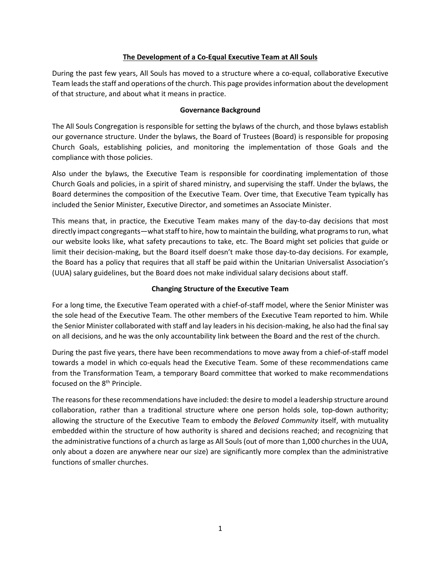## **The Development of a Co-Equal Executive Team at All Souls**

During the past few years, All Souls has moved to a structure where a co-equal, collaborative Executive Team leads the staff and operations of the church. This page provides information about the development of that structure, and about what it means in practice.

## **Governance Background**

The All Souls Congregation is responsible for setting the bylaws of the church, and those bylaws establish our governance structure. Under the bylaws, the Board of Trustees (Board) is responsible for proposing Church Goals, establishing policies, and monitoring the implementation of those Goals and the compliance with those policies.

Also under the bylaws, the Executive Team is responsible for coordinating implementation of those Church Goals and policies, in a spirit of shared ministry, and supervising the staff. Under the bylaws, the Board determines the composition of the Executive Team. Over time, that Executive Team typically has included the Senior Minister, Executive Director, and sometimes an Associate Minister.

This means that, in practice, the Executive Team makes many of the day-to-day decisions that most directly impact congregants—what staff to hire, how to maintain the building, what programs to run, what our website looks like, what safety precautions to take, etc. The Board might set policies that guide or limit their decision-making, but the Board itself doesn't make those day-to-day decisions. For example, the Board has a policy that requires that all staff be paid within the Unitarian Universalist Association's (UUA) salary guidelines, but the Board does not make individual salary decisions about staff.

## **Changing Structure of the Executive Team**

For a long time, the Executive Team operated with a chief-of-staff model, where the Senior Minister was the sole head of the Executive Team. The other members of the Executive Team reported to him. While the Senior Minister collaborated with staff and lay leaders in his decision-making, he also had the final say on all decisions, and he was the only accountability link between the Board and the rest of the church.

During the past five years, there have been recommendations to move away from a chief-of-staff model towards a model in which co-equals head the Executive Team. Some of these recommendations came from the Transformation Team, a temporary Board committee that worked to make recommendations focused on the 8<sup>th</sup> Principle.

The reasons for these recommendations have included: the desire to model a leadership structure around collaboration, rather than a traditional structure where one person holds sole, top-down authority; allowing the structure of the Executive Team to embody the *Beloved Community* itself, with mutuality embedded within the structure of how authority is shared and decisions reached; and recognizing that the administrative functions of a church as large as All Souls (out of more than 1,000 churches in the UUA, only about a dozen are anywhere near our size) are significantly more complex than the administrative functions of smaller churches.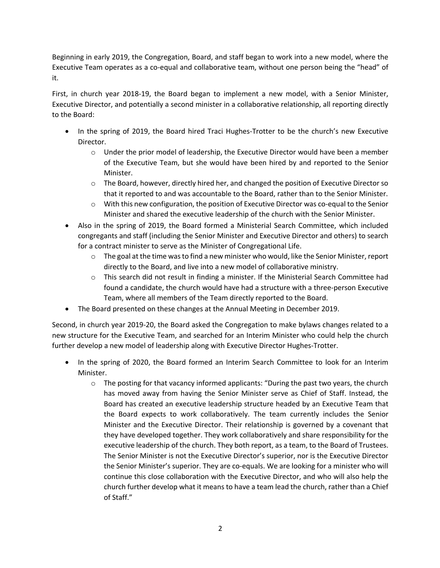Beginning in early 2019, the Congregation, Board, and staff began to work into a new model, where the Executive Team operates as a co-equal and collaborative team, without one person being the "head" of it.

First, in church year 2018-19, the Board began to implement a new model, with a Senior Minister, Executive Director, and potentially a second minister in a collaborative relationship, all reporting directly to the Board:

- In the spring of 2019, the Board hired Traci Hughes-Trotter to be the church's new Executive Director.
	- $\circ$  Under the prior model of leadership, the Executive Director would have been a member of the Executive Team, but she would have been hired by and reported to the Senior Minister.
	- $\circ$  The Board, however, directly hired her, and changed the position of Executive Director so that it reported to and was accountable to the Board, rather than to the Senior Minister.
	- $\circ$  With this new configuration, the position of Executive Director was co-equal to the Senior Minister and shared the executive leadership of the church with the Senior Minister.
- Also in the spring of 2019, the Board formed a Ministerial Search Committee, which included congregants and staff (including the Senior Minister and Executive Director and others) to search for a contract minister to serve as the Minister of Congregational Life.
	- $\circ$  The goal at the time was to find a new minister who would, like the Senior Minister, report directly to the Board, and live into a new model of collaborative ministry.
	- o This search did not result in finding a minister. If the Ministerial Search Committee had found a candidate, the church would have had a structure with a three-person Executive Team, where all members of the Team directly reported to the Board.
- The Board presented on these changes at the Annual Meeting in December 2019.

Second, in church year 2019-20, the Board asked the Congregation to make bylaws changes related to a new structure for the Executive Team, and searched for an Interim Minister who could help the church further develop a new model of leadership along with Executive Director Hughes-Trotter.

- In the spring of 2020, the Board formed an Interim Search Committee to look for an Interim Minister.
	- $\circ$  The posting for that vacancy informed applicants: "During the past two years, the church has moved away from having the Senior Minister serve as Chief of Staff. Instead, the Board has created an executive leadership structure headed by an Executive Team that the Board expects to work collaboratively. The team currently includes the Senior Minister and the Executive Director. Their relationship is governed by a covenant that they have developed together. They work collaboratively and share responsibility for the executive leadership of the church. They both report, as a team, to the Board of Trustees. The Senior Minister is not the Executive Director's superior, nor is the Executive Director the Senior Minister's superior. They are co-equals. We are looking for a minister who will continue this close collaboration with the Executive Director, and who will also help the church further develop what it means to have a team lead the church, rather than a Chief of Staff."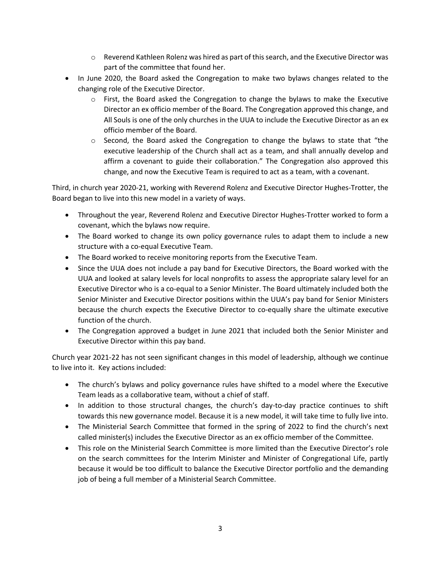- o Reverend Kathleen Rolenz was hired as part of this search, and the Executive Director was part of the committee that found her.
- In June 2020, the Board asked the Congregation to make two bylaws changes related to the changing role of the Executive Director.
	- $\circ$  First, the Board asked the Congregation to change the bylaws to make the Executive Director an ex officio member of the Board. The Congregation approved this change, and All Souls is one of the only churches in the UUA to include the Executive Director as an ex officio member of the Board.
	- $\circ$  Second, the Board asked the Congregation to change the bylaws to state that "the executive leadership of the Church shall act as a team, and shall annually develop and affirm a covenant to guide their collaboration." The Congregation also approved this change, and now the Executive Team is required to act as a team, with a covenant.

Third, in church year 2020-21, working with Reverend Rolenz and Executive Director Hughes-Trotter, the Board began to live into this new model in a variety of ways.

- Throughout the year, Reverend Rolenz and Executive Director Hughes-Trotter worked to form a covenant, which the bylaws now require.
- The Board worked to change its own policy governance rules to adapt them to include a new structure with a co-equal Executive Team.
- The Board worked to receive monitoring reports from the Executive Team.
- Since the UUA does not include a pay band for Executive Directors, the Board worked with the UUA and looked at salary levels for local nonprofits to assess the appropriate salary level for an Executive Director who is a co-equal to a Senior Minister. The Board ultimately included both the Senior Minister and Executive Director positions within the UUA's pay band for Senior Ministers because the church expects the Executive Director to co-equally share the ultimate executive function of the church.
- The Congregation approved a budget in June 2021 that included both the Senior Minister and Executive Director within this pay band.

Church year 2021-22 has not seen significant changes in this model of leadership, although we continue to live into it. Key actions included:

- The church's bylaws and policy governance rules have shifted to a model where the Executive Team leads as a collaborative team, without a chief of staff.
- In addition to those structural changes, the church's day-to-day practice continues to shift towards this new governance model. Because it is a new model, it will take time to fully live into.
- The Ministerial Search Committee that formed in the spring of 2022 to find the church's next called minister(s) includes the Executive Director as an ex officio member of the Committee.
- This role on the Ministerial Search Committee is more limited than the Executive Director's role on the search committees for the Interim Minister and Minister of Congregational Life, partly because it would be too difficult to balance the Executive Director portfolio and the demanding job of being a full member of a Ministerial Search Committee.